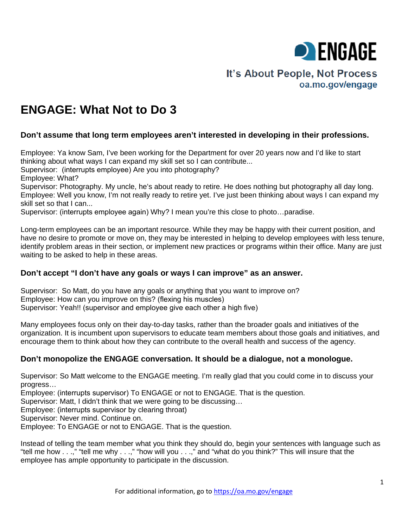

# It's About People, Not Process oa.mo.gov/engage

# **ENGAGE: What Not to Do 3**

## **Don't assume that long term employees aren't interested in developing in their professions.**

Employee: Ya know Sam, I've been working for the Department for over 20 years now and I'd like to start thinking about what ways I can expand my skill set so I can contribute...

Supervisor: (interrupts employee) Are you into photography?

Employee: What?

Supervisor: Photography. My uncle, he's about ready to retire. He does nothing but photography all day long. Employee: Well you know, I'm not really ready to retire yet. I've just been thinking about ways I can expand my skill set so that I can...

Supervisor: (interrupts employee again) Why? I mean you're this close to photo…paradise.

Long-term employees can be an important resource. While they may be happy with their current position, and have no desire to promote or move on, they may be interested in helping to develop employees with less tenure, identify problem areas in their section, or implement new practices or programs within their office. Many are just waiting to be asked to help in these areas.

## **Don't accept "I don't have any goals or ways I can improve" as an answer.**

Supervisor: So Matt, do you have any goals or anything that you want to improve on? Employee: How can you improve on this? (flexing his muscles) Supervisor: Yeah!! (supervisor and employee give each other a high five)

Many employees focus only on their day-to-day tasks, rather than the broader goals and initiatives of the organization. It is incumbent upon supervisors to educate team members about those goals and initiatives, and encourage them to think about how they can contribute to the overall health and success of the agency.

## **Don't monopolize the ENGAGE conversation. It should be a dialogue, not a monologue.**

Supervisor: So Matt welcome to the ENGAGE meeting. I'm really glad that you could come in to discuss your progress…

Employee: (interrupts supervisor) To ENGAGE or not to ENGAGE. That is the question.

Supervisor: Matt, I didn't think that we were going to be discussing…

Employee: (interrupts supervisor by clearing throat)

Supervisor: Never mind. Continue on.

Employee: To ENGAGE or not to ENGAGE. That is the question.

Instead of telling the team member what you think they should do, begin your sentences with language such as "tell me how . . .," "tell me why . . .," "how will you . . .," and "what do you think?" This will insure that the employee has ample opportunity to participate in the discussion.